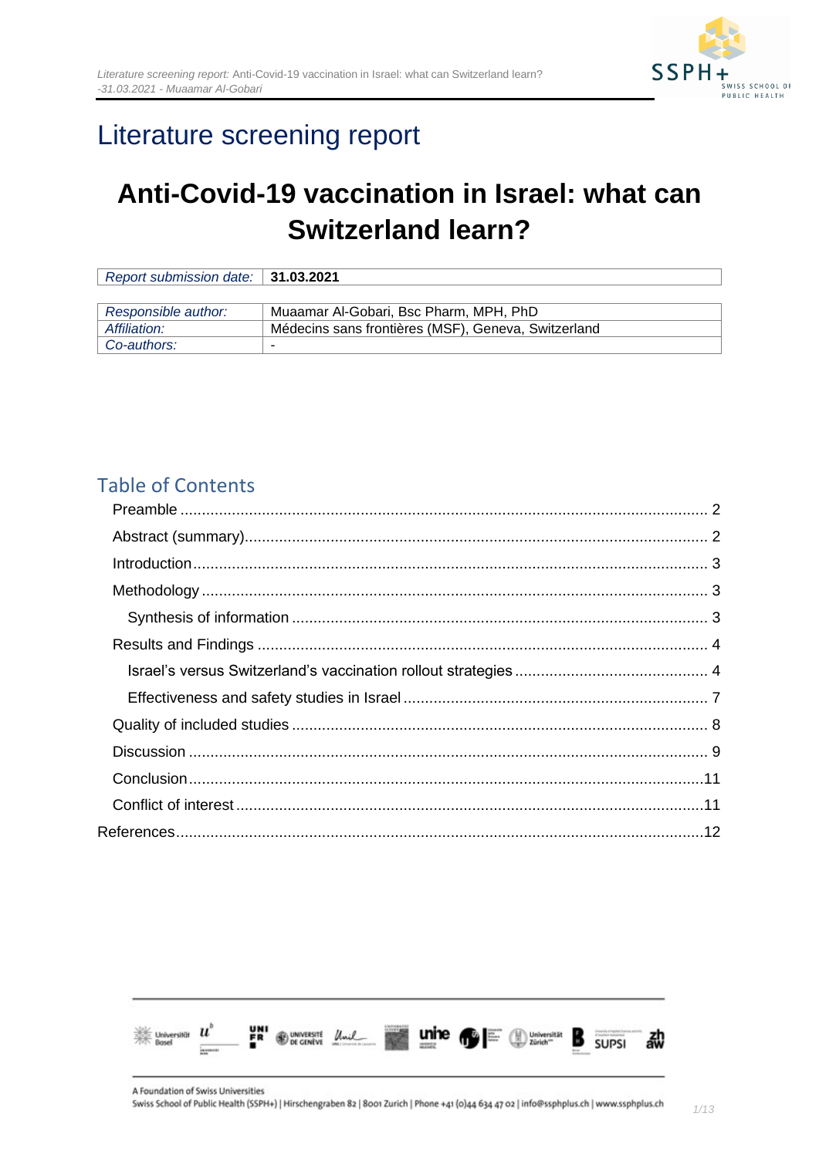

# Literature screening report

# **Anti-Covid-19 vaccination in Israel: what can Switzerland learn?**

| Report submission date: 31.03.2021 |                                                     |
|------------------------------------|-----------------------------------------------------|
|                                    |                                                     |
| Responsible author:                | Muaamar Al-Gobari, Bsc Pharm, MPH, PhD              |
| Affiliation:                       | Médecins sans frontières (MSF), Geneva, Switzerland |
| Co-authors:                        | -                                                   |

### Table of Contents

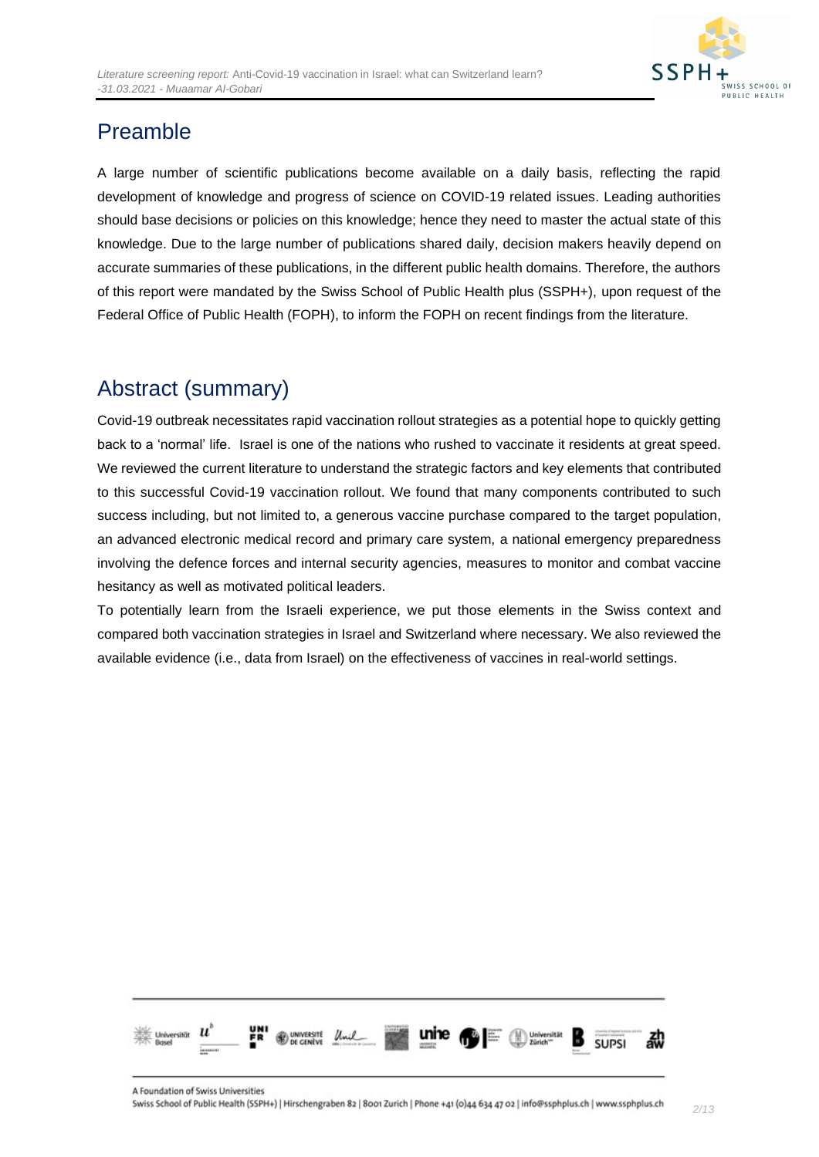

# <span id="page-1-0"></span>Preamble

A large number of scientific publications become available on a daily basis, reflecting the rapid development of knowledge and progress of science on COVID-19 related issues. Leading authorities should base decisions or policies on this knowledge; hence they need to master the actual state of this knowledge. Due to the large number of publications shared daily, decision makers heavily depend on accurate summaries of these publications, in the different public health domains. Therefore, the authors of this report were mandated by the Swiss School of Public Health plus (SSPH+), upon request of the Federal Office of Public Health (FOPH), to inform the FOPH on recent findings from the literature.

# <span id="page-1-1"></span>Abstract (summary)

Covid-19 outbreak necessitates rapid vaccination rollout strategies as a potential hope to quickly getting back to a 'normal' life. Israel is one of the nations who rushed to vaccinate it residents at great speed. We reviewed the current literature to understand the strategic factors and key elements that contributed to this successful Covid-19 vaccination rollout. We found that many components contributed to such success including, but not limited to, a generous vaccine purchase compared to the target population, an advanced electronic medical record and primary care system, a national emergency preparedness involving the defence forces and internal security agencies, measures to monitor and combat vaccine hesitancy as well as motivated political leaders.

To potentially learn from the Israeli experience, we put those elements in the Swiss context and compared both vaccination strategies in Israel and Switzerland where necessary. We also reviewed the available evidence (i.e., data from Israel) on the effectiveness of vaccines in real-world settings.

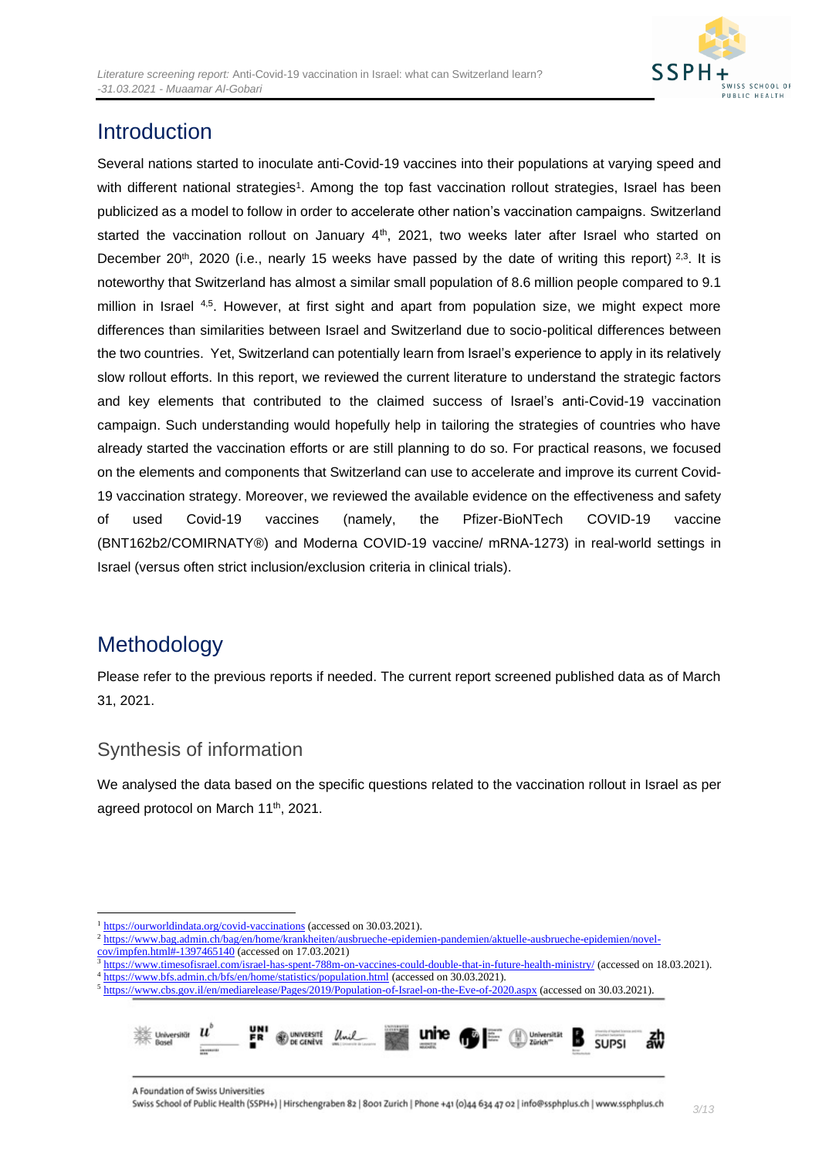

## <span id="page-2-0"></span>**Introduction**

Several nations started to inoculate anti-Covid-19 vaccines into their populations at varying speed and with different national strategies<sup>1</sup>. Among the top fast vaccination rollout strategies, Israel has been publicized as a model to follow in order to accelerate other nation's vaccination campaigns. Switzerland started the vaccination rollout on January  $4<sup>th</sup>$ , 2021, two weeks later after Israel who started on December 20<sup>th</sup>, 2020 (i.e., nearly 15 weeks have passed by the date of writing this report)  $2.3$ . It is noteworthy that Switzerland has almost a similar small population of 8.6 million people compared to 9.1 million in Israel <sup>4,5</sup>. However, at first sight and apart from population size, we might expect more differences than similarities between Israel and Switzerland due to socio-political differences between the two countries. Yet, Switzerland can potentially learn from Israel's experience to apply in its relatively slow rollout efforts. In this report, we reviewed the current literature to understand the strategic factors and key elements that contributed to the claimed success of Israel's anti-Covid-19 vaccination campaign. Such understanding would hopefully help in tailoring the strategies of countries who have already started the vaccination efforts or are still planning to do so. For practical reasons, we focused on the elements and components that Switzerland can use to accelerate and improve its current Covid-19 vaccination strategy. Moreover, we reviewed the available evidence on the effectiveness and safety of used Covid-19 vaccines (namely, the Pfizer-BioNTech COVID-19 vaccine (BNT162b2/COMIRNATY®) and Moderna COVID-19 vaccine/ mRNA-1273) in real-world settings in Israel (versus often strict inclusion/exclusion criteria in clinical trials).

# <span id="page-2-1"></span>Methodology

Please refer to the previous reports if needed. The current report screened published data as of March 31, 2021.

#### <span id="page-2-2"></span>Synthesis of information

We analysed the data based on the specific questions related to the vaccination rollout in Israel as per agreed protocol on March 11th, 2021.

<sup>5</sup> <https://www.cbs.gov.il/en/mediarelease/Pages/2019/Population-of-Israel-on-the-Eve-of-2020.aspx> (accessed on 30.03.2021).



<sup>1</sup> <https://ourworldindata.org/covid-vaccinations> (accessed on 30.03.2021).

<sup>2</sup> [https://www.bag.admin.ch/bag/en/home/krankheiten/ausbrueche-epidemien-pandemien/aktuelle-ausbrueche-epidemien/novel-](https://www.bag.admin.ch/bag/en/home/krankheiten/ausbrueche-epidemien-pandemien/aktuelle-ausbrueche-epidemien/novel-cov/impfen.html#-1397465140)

[cov/impfen.html#-1397465140](https://www.bag.admin.ch/bag/en/home/krankheiten/ausbrueche-epidemien-pandemien/aktuelle-ausbrueche-epidemien/novel-cov/impfen.html#-1397465140) (accessed on 17.03.2021)

<sup>3</sup> <https://www.timesofisrael.com/israel-has-spent-788m-on-vaccines-could-double-that-in-future-health-ministry/> (accessed on 18.03.2021). <sup>4</sup> <https://www.bfs.admin.ch/bfs/en/home/statistics/population.html> (accessed on 30.03.2021).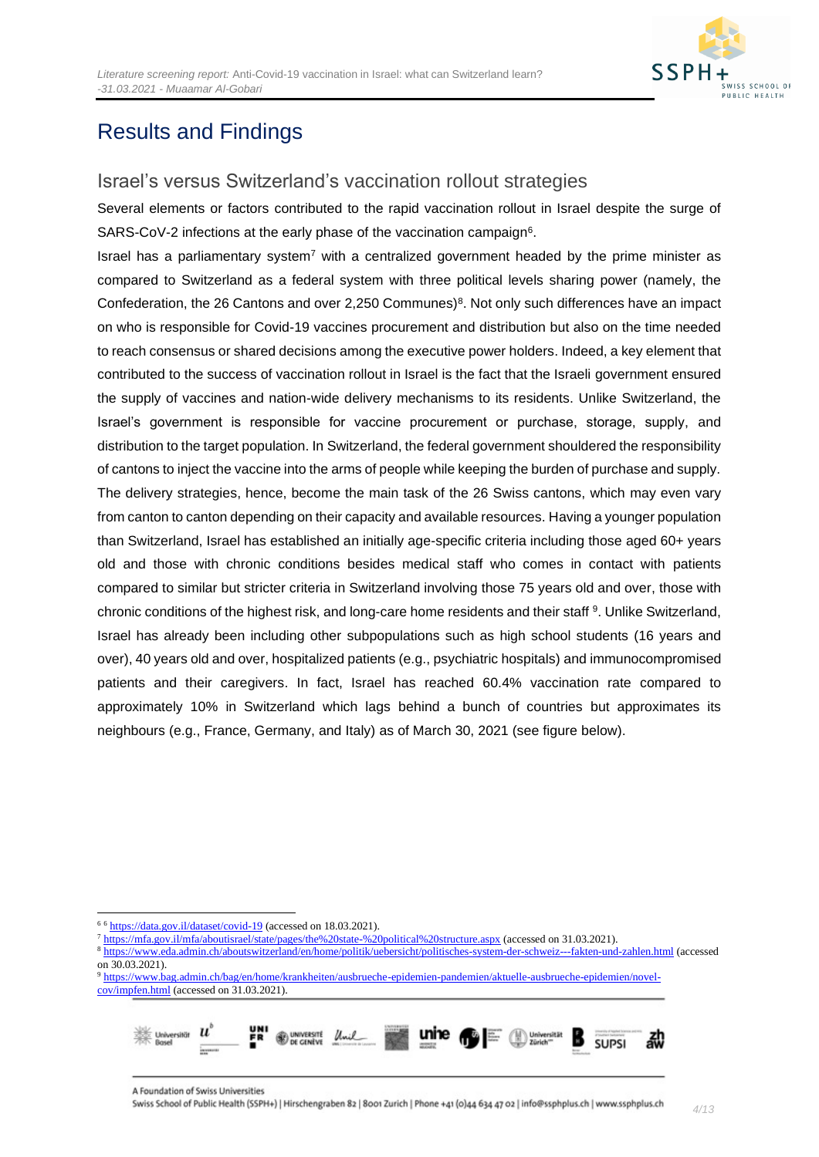

# <span id="page-3-0"></span>Results and Findings

#### <span id="page-3-1"></span>Israel's versus Switzerland's vaccination rollout strategies

Several elements or factors contributed to the rapid vaccination rollout in Israel despite the surge of SARS-CoV-2 infections at the early phase of the vaccination campaign<sup>6</sup>.

Israel has a parliamentary system<sup>7</sup> with a centralized government headed by the prime minister as compared to Switzerland as a federal system with three political levels sharing power (namely, the Confederation, the 26 Cantons and over 2,250 Communes)<sup>8</sup>. Not only such differences have an impact on who is responsible for Covid-19 vaccines procurement and distribution but also on the time needed to reach consensus or shared decisions among the executive power holders. Indeed, a key element that contributed to the success of vaccination rollout in Israel is the fact that the Israeli government ensured the supply of vaccines and nation-wide delivery mechanisms to its residents. Unlike Switzerland, the Israel's government is responsible for vaccine procurement or purchase, storage, supply, and distribution to the target population. In Switzerland, the federal government shouldered the responsibility of cantons to inject the vaccine into the arms of people while keeping the burden of purchase and supply. The delivery strategies, hence, become the main task of the 26 Swiss cantons, which may even vary from canton to canton depending on their capacity and available resources. Having a younger population than Switzerland, Israel has established an initially age-specific criteria including those aged 60+ years old and those with chronic conditions besides medical staff who comes in contact with patients compared to similar but stricter criteria in Switzerland involving those 75 years old and over, those with chronic conditions of the highest risk, and long-care home residents and their staff <sup>9</sup>. Unlike Switzerland, Israel has already been including other subpopulations such as high school students (16 years and over), 40 years old and over, hospitalized patients (e.g., psychiatric hospitals) and immunocompromised patients and their caregivers. In fact, Israel has reached 60.4% vaccination rate compared to approximately 10% in Switzerland which lags behind a bunch of countries but approximates its neighbours (e.g., France, Germany, and Italy) as of March 30, 2021 (see figure below).

<sup>9</sup> [https://www.bag.admin.ch/bag/en/home/krankheiten/ausbrueche-epidemien-pandemien/aktuelle-ausbrueche-epidemien/novel](https://www.bag.admin.ch/bag/en/home/krankheiten/ausbrueche-epidemien-pandemien/aktuelle-ausbrueche-epidemien/novel-cov/impfen.html)[cov/impfen.html](https://www.bag.admin.ch/bag/en/home/krankheiten/ausbrueche-epidemien-pandemien/aktuelle-ausbrueche-epidemien/novel-cov/impfen.html) (accessed on 31.03.2021).



<sup>6</sup> <sup>6</sup> <https://data.gov.il/dataset/covid-19> (accessed on 18.03.2021).

<sup>7</sup> <https://mfa.gov.il/mfa/aboutisrael/state/pages/the%20state-%20political%20structure.aspx> (accessed on 31.03.2021).

<sup>8</sup> <https://www.eda.admin.ch/aboutswitzerland/en/home/politik/uebersicht/politisches-system-der-schweiz---fakten-und-zahlen.html> (accessed on 30.03.2021).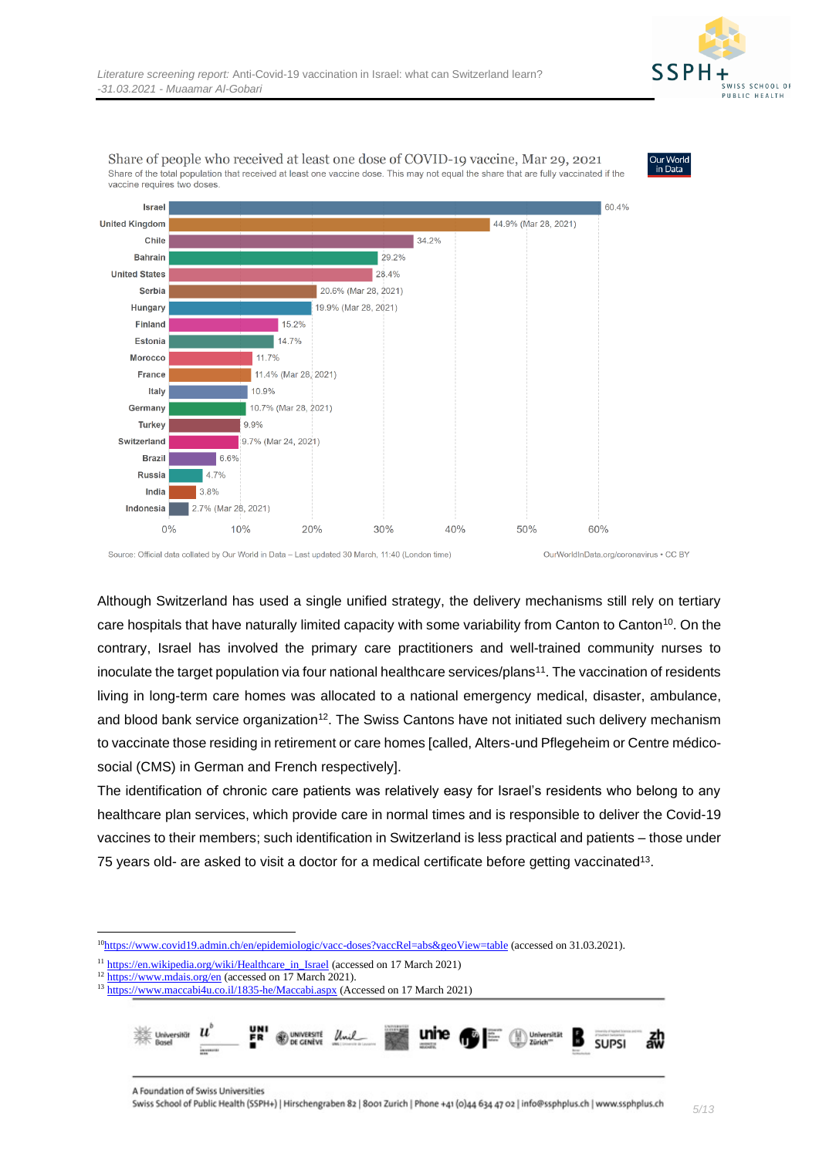





Although Switzerland has used a single unified strategy, the delivery mechanisms still rely on tertiary care hospitals that have naturally limited capacity with some variability from Canton to Canton<sup>10</sup>. On the contrary, Israel has involved the primary care practitioners and well-trained community nurses to inoculate the target population via four national healthcare services/plans<sup>11</sup>. The vaccination of residents living in long-term care homes was allocated to a national emergency medical, disaster, ambulance, and blood bank service organization<sup>12</sup>. The Swiss Cantons have not initiated such delivery mechanism to vaccinate those residing in retirement or care homes [called, Alters-und Pflegeheim or Centre médicosocial (CMS) in German and French respectively].

The identification of chronic care patients was relatively easy for Israel's residents who belong to any healthcare plan services, which provide care in normal times and is responsible to deliver the Covid-19 vaccines to their members; such identification in Switzerland is less practical and patients – those under 75 years old- are asked to visit a doctor for a medical certificate before getting vaccinated<sup>13</sup>.

<sup>&</sup>lt;sup>13</sup> <https://www.maccabi4u.co.il/1835-he/Maccabi.aspx> (Accessed on 17 March 2021)



<sup>10</sup><https://www.covid19.admin.ch/en/epidemiologic/vacc-doses?vaccRel=abs&geoView=table> (accessed on 31.03.2021).

<sup>&</sup>lt;sup>11</sup> [https://en.wikipedia.org/wiki/Healthcare\\_in\\_Israel](https://en.wikipedia.org/wiki/Healthcare_in_Israel) (accessed on 17 March 2021)

<sup>&</sup>lt;sup>12</sup> <https://www.mdais.org/en> (accessed on 17 March 2021).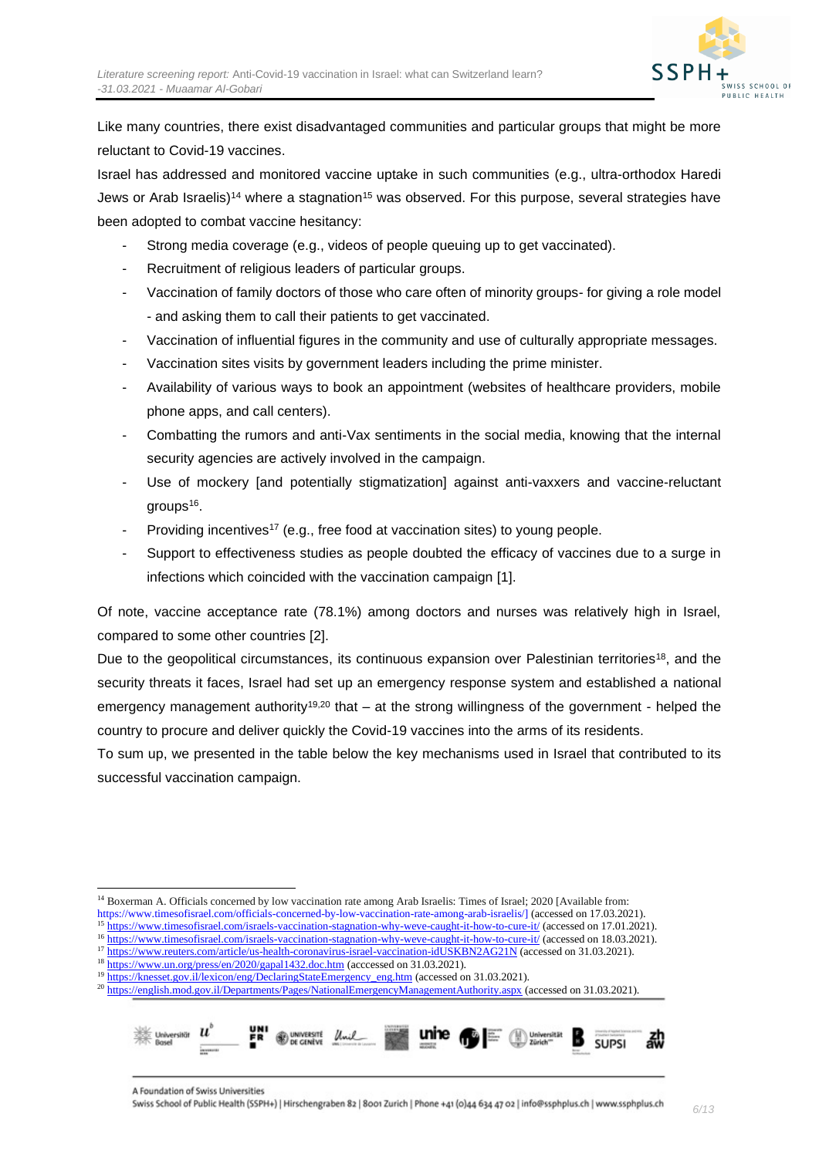

Like many countries, there exist disadvantaged communities and particular groups that might be more reluctant to Covid-19 vaccines.

Israel has addressed and monitored vaccine uptake in such communities (e.g., ultra-orthodox Haredi Jews or Arab Israelis)<sup>14</sup> where a stagnation<sup>15</sup> was observed. For this purpose, several strategies have been adopted to combat vaccine hesitancy:

- Strong media coverage (e.g., videos of people queuing up to get vaccinated).
- Recruitment of religious leaders of particular groups.
- Vaccination of family doctors of those who care often of minority groups- for giving a role model - and asking them to call their patients to get vaccinated.
- Vaccination of influential figures in the community and use of culturally appropriate messages.
- Vaccination sites visits by government leaders including the prime minister.
- Availability of various ways to book an appointment (websites of healthcare providers, mobile phone apps, and call centers).
- Combatting the rumors and anti-Vax sentiments in the social media, knowing that the internal security agencies are actively involved in the campaign.
- Use of mockery [and potentially stigmatization] against anti-vaxxers and vaccine-reluctant groups<sup>16</sup>.
- Providing incentives<sup>17</sup> (e.g., free food at vaccination sites) to young people.
- Support to effectiveness studies as people doubted the efficacy of vaccines due to a surge in infections which coincided with the vaccination campaign [1].

Of note, vaccine acceptance rate (78.1%) among doctors and nurses was relatively high in Israel, compared to some other countries [2].

Due to the geopolitical circumstances, its continuous expansion over Palestinian territories<sup>18</sup>, and the security threats it faces, Israel had set up an emergency response system and established a national emergency management authority<sup>19,20</sup> that - at the strong willingness of the government - helped the country to procure and deliver quickly the Covid-19 vaccines into the arms of its residents.

To sum up, we presented in the table below the key mechanisms used in Israel that contributed to its successful vaccination campaign.

https://www.timesofisrael.com/officials-concerned-by-low-vaccination-rate-among-arab-israelis/] (accessed on 17.03.2021).

<sup>15</sup> <https://www.timesofisrael.com/israels-vaccination-stagnation-why-weve-caught-it-how-to-cure-it/> (accessed on 17.01.2021).

<sup>16</sup> <https://www.timesofisrael.com/israels-vaccination-stagnation-why-weve-caught-it-how-to-cure-it/> (accessed on 18.03.2021). <sup>17</sup> <https://www.reuters.com/article/us-health-coronavirus-israel-vaccination-idUSKBN2AG21N> (accessed on 31.03.2021).

- <sup>18</sup> <https://www.un.org/press/en/2020/gapal1432.doc.htm> (acccessed on 31.03.2021).
- <sup>19</sup> [https://knesset.gov.il/lexicon/eng/DeclaringStateEmergency\\_eng.htm](https://knesset.gov.il/lexicon/eng/DeclaringStateEmergency_eng.htm) (accessed on 31.03.2021).

<sup>20</sup> <https://english.mod.gov.il/Departments/Pages/NationalEmergencyManagementAuthority.aspx> (accessed on 31.03.2021).



<sup>&</sup>lt;sup>14</sup> Boxerman A. Officials concerned by low vaccination rate among Arab Israelis: Times of Israel; 2020 [Available from: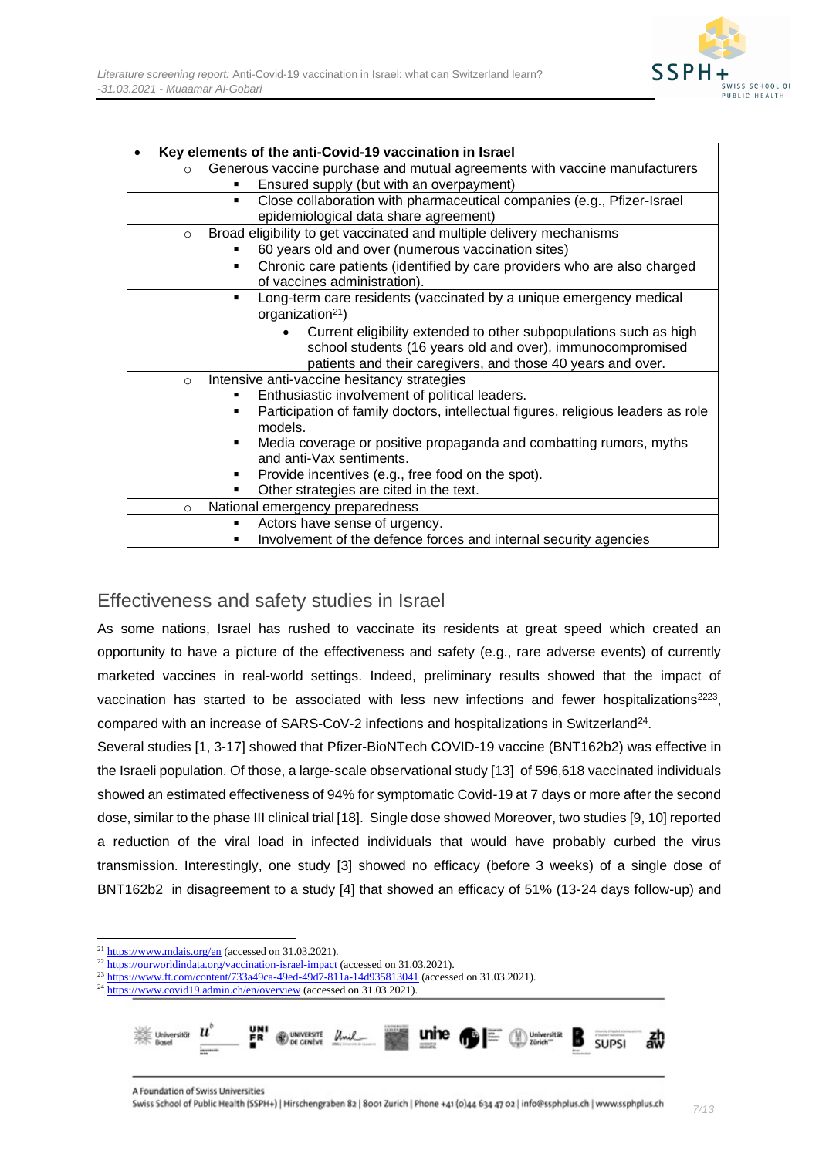

| Key elements of the anti-Covid-19 vaccination in Israel                                                                                                                                                     |
|-------------------------------------------------------------------------------------------------------------------------------------------------------------------------------------------------------------|
| Generous vaccine purchase and mutual agreements with vaccine manufacturers<br>$\circ$                                                                                                                       |
| Ensured supply (but with an overpayment)                                                                                                                                                                    |
| Close collaboration with pharmaceutical companies (e.g., Pfizer-Israel<br>٠                                                                                                                                 |
| epidemiological data share agreement)                                                                                                                                                                       |
| Broad eligibility to get vaccinated and multiple delivery mechanisms<br>$\circ$                                                                                                                             |
| 60 years old and over (numerous vaccination sites)<br>٠                                                                                                                                                     |
| Chronic care patients (identified by care providers who are also charged<br>٠<br>of vaccines administration).                                                                                               |
| Long-term care residents (vaccinated by a unique emergency medical<br>٠<br>organization <sup>21</sup> )                                                                                                     |
| Current eligibility extended to other subpopulations such as high<br>$\bullet$<br>school students (16 years old and over), immunocompromised<br>patients and their caregivers, and those 40 years and over. |
| Intensive anti-vaccine hesitancy strategies<br>$\circ$                                                                                                                                                      |
| Enthusiastic involvement of political leaders.                                                                                                                                                              |
| Participation of family doctors, intellectual figures, religious leaders as role<br>٠<br>models.                                                                                                            |
| Media coverage or positive propaganda and combatting rumors, myths<br>٠<br>and anti-Vax sentiments.                                                                                                         |
| Provide incentives (e.g., free food on the spot).<br>٠                                                                                                                                                      |
| Other strategies are cited in the text.<br>٠                                                                                                                                                                |
| National emergency preparedness<br>$\circ$                                                                                                                                                                  |
| Actors have sense of urgency.<br>٠                                                                                                                                                                          |
| Involvement of the defence forces and internal security agencies<br>٠                                                                                                                                       |

#### <span id="page-6-0"></span>Effectiveness and safety studies in Israel

As some nations, Israel has rushed to vaccinate its residents at great speed which created an opportunity to have a picture of the effectiveness and safety (e.g., rare adverse events) of currently marketed vaccines in real-world settings. Indeed, preliminary results showed that the impact of vaccination has started to be associated with less new infections and fewer hospitalizations<sup>2223</sup>, compared with an increase of SARS-CoV-2 infections and hospitalizations in Switzerland<sup>24</sup>.

Several studies [1, 3-17] showed that Pfizer-BioNTech COVID-19 vaccine (BNT162b2) was effective in the Israeli population. Of those, a large-scale observational study [13] of 596,618 vaccinated individuals showed an estimated effectiveness of 94% for symptomatic Covid-19 at 7 days or more after the second dose, similar to the phase III clinical trial [18]. Single dose showed Moreover, two studies [9, 10] reported a reduction of the viral load in infected individuals that would have probably curbed the virus transmission. Interestingly, one study [3] showed no efficacy (before 3 weeks) of a single dose of BNT162b2 in disagreement to a study [4] that showed an efficacy of 51% (13-24 days follow-up) and

 $^{24}$  <https://www.covid19.admin.ch/en/overview> (accessed on 31.03.2021).



<sup>&</sup>lt;sup>21</sup> <https://www.mdais.org/en> (accessed on 31.03.2021).

<sup>&</sup>lt;sup>22</sup> <https://ourworldindata.org/vaccination-israel-impact> (accessed on 31.03.2021).

<sup>23</sup> <https://www.ft.com/content/733a49ca-49ed-49d7-811a-14d935813041> (accessed on 31.03.2021).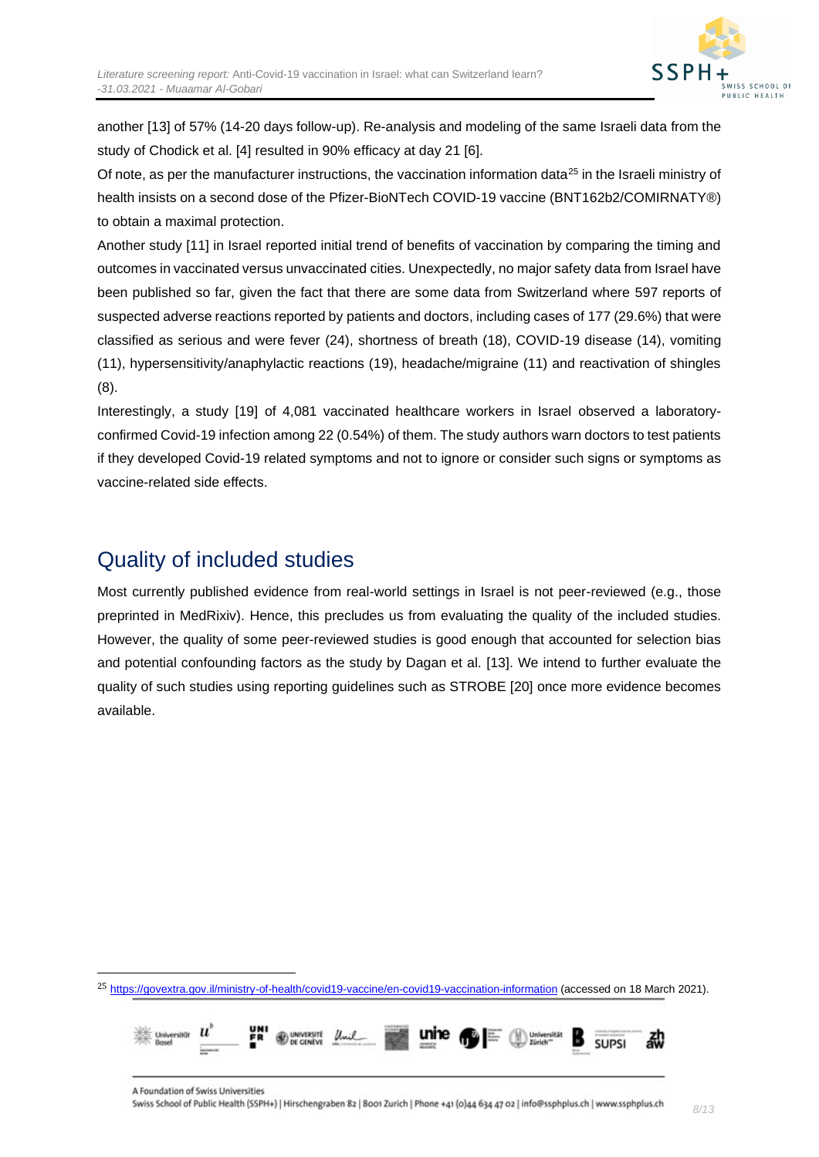

another [13] of 57% (14-20 days follow-up). Re-analysis and modeling of the same Israeli data from the study of Chodick et al. [4] resulted in 90% efficacy at day 21 [6].

Of note, as per the manufacturer instructions, the vaccination information data $25$  in the Israeli ministry of health insists on a second dose of the Pfizer-BioNTech COVID-19 vaccine (BNT162b2/COMIRNATY®) to obtain a maximal protection.

Another study [11] in Israel reported initial trend of benefits of vaccination by comparing the timing and outcomes in vaccinated versus unvaccinated cities. Unexpectedly, no major safety data from Israel have been published so far, given the fact that there are some data from Switzerland where 597 reports of suspected adverse reactions reported by patients and doctors, including cases of 177 (29.6%) that were classified as serious and were fever (24), shortness of breath (18), COVID-19 disease (14), vomiting (11), hypersensitivity/anaphylactic reactions (19), headache/migraine (11) and reactivation of shingles (8).

Interestingly, a study [19] of 4,081 vaccinated healthcare workers in Israel observed a laboratoryconfirmed Covid-19 infection among 22 (0.54%) of them. The study authors warn doctors to test patients if they developed Covid-19 related symptoms and not to ignore or consider such signs or symptoms as vaccine-related side effects.

# <span id="page-7-0"></span>Quality of included studies

Most currently published evidence from real-world settings in Israel is not peer-reviewed (e.g., those preprinted in MedRixiv). Hence, this precludes us from evaluating the quality of the included studies. However, the quality of some peer-reviewed studies is good enough that accounted for selection bias and potential confounding factors as the study by Dagan et al. [13]. We intend to further evaluate the quality of such studies using reporting guidelines such as STROBE [20] once more evidence becomes available.

<sup>25</sup> <https://govextra.gov.il/ministry-of-health/covid19-vaccine/en-covid19-vaccination-information> (accessed on 18 March 2021).

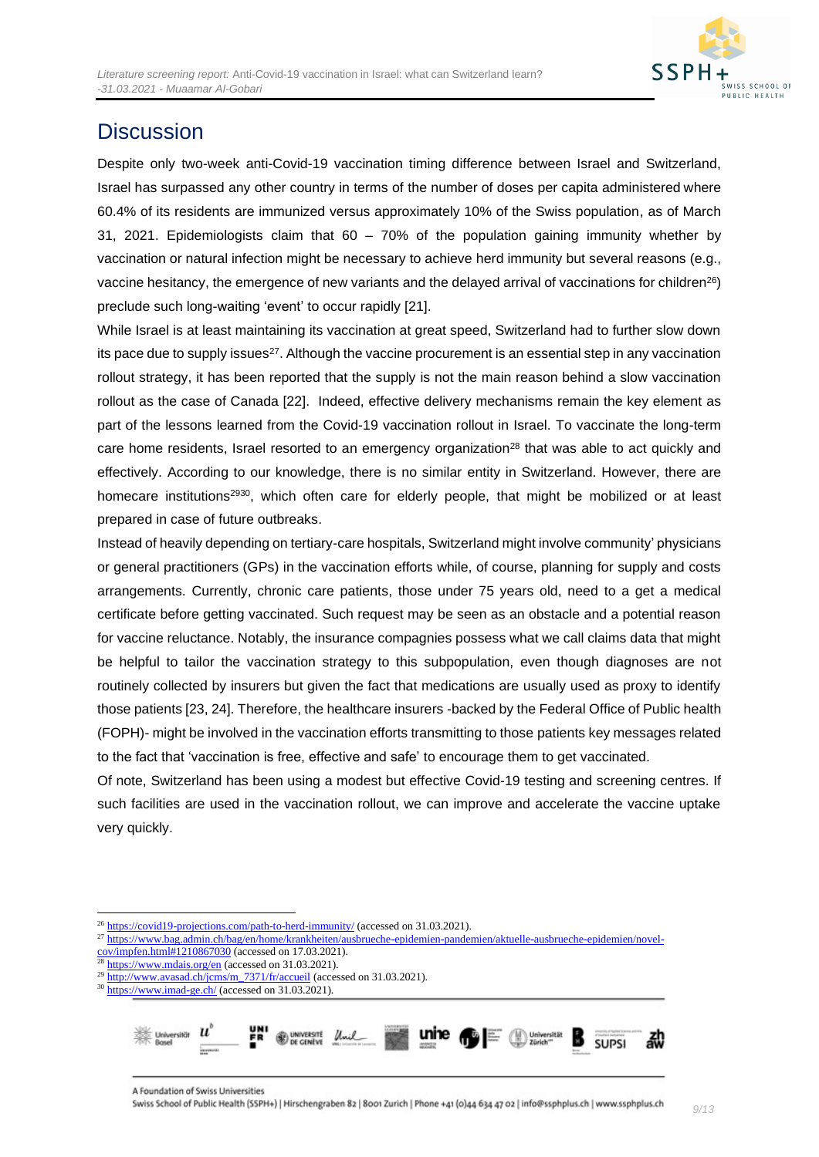

## <span id="page-8-0"></span>**Discussion**

Despite only two-week anti-Covid-19 vaccination timing difference between Israel and Switzerland, Israel has surpassed any other country in terms of the number of doses per capita administered where 60.4% of its residents are immunized versus approximately 10% of the Swiss population, as of March 31, 2021. Epidemiologists claim that 60 – 70% of the population gaining immunity whether by vaccination or natural infection might be necessary to achieve herd immunity but several reasons (e.g., vaccine hesitancy, the emergence of new variants and the delayed arrival of vaccinations for children<sup>26</sup>) preclude such long-waiting 'event' to occur rapidly [21].

While Israel is at least maintaining its vaccination at great speed, Switzerland had to further slow down its pace due to supply issues<sup>27</sup>. Although the vaccine procurement is an essential step in any vaccination rollout strategy, it has been reported that the supply is not the main reason behind a slow vaccination rollout as the case of Canada [22]. Indeed, effective delivery mechanisms remain the key element as part of the lessons learned from the Covid-19 vaccination rollout in Israel. To vaccinate the long-term care home residents, Israel resorted to an emergency organization<sup>28</sup> that was able to act quickly and effectively. According to our knowledge, there is no similar entity in Switzerland. However, there are homecare institutions<sup>2930</sup>, which often care for elderly people, that might be mobilized or at least prepared in case of future outbreaks.

Instead of heavily depending on tertiary-care hospitals, Switzerland might involve community' physicians or general practitioners (GPs) in the vaccination efforts while, of course, planning for supply and costs arrangements. Currently, chronic care patients, those under 75 years old, need to a get a medical certificate before getting vaccinated. Such request may be seen as an obstacle and a potential reason for vaccine reluctance. Notably, the insurance compagnies possess what we call claims data that might be helpful to tailor the vaccination strategy to this subpopulation, even though diagnoses are not routinely collected by insurers but given the fact that medications are usually used as proxy to identify those patients [23, 24]. Therefore, the healthcare insurers -backed by the Federal Office of Public health (FOPH)- might be involved in the vaccination efforts transmitting to those patients key messages related to the fact that 'vaccination is free, effective and safe' to encourage them to get vaccinated.

Of note, Switzerland has been using a modest but effective Covid-19 testing and screening centres. If such facilities are used in the vaccination rollout, we can improve and accelerate the vaccine uptake very quickly.

 $28 \frac{\text{https://www.mdais.org/en}}{\text{https://www.mdais.org/en}}$  $28 \frac{\text{https://www.mdais.org/en}}{\text{https://www.mdais.org/en}}$  $28 \frac{\text{https://www.mdais.org/en}}{\text{https://www.mdais.org/en}}$  (accessed on 31.03.2021).

 $30 \frac{\text{https://www.imad-ge.ch/}}{\text{https://www.imad-ge.ch/}}$  $30 \frac{\text{https://www.imad-ge.ch/}}{\text{https://www.imad-ge.ch/}}$  $30 \frac{\text{https://www.imad-ge.ch/}}{\text{https://www.imad-ge.ch/}}$  (accessed on 31.03.2021).



<sup>26</sup> <https://covid19-projections.com/path-to-herd-immunity/> (accessed on 31.03.2021).

<sup>27</sup> [https://www.bag.admin.ch/bag/en/home/krankheiten/ausbrueche-epidemien-pandemien/aktuelle-ausbrueche-epidemien/novel](https://www.bag.admin.ch/bag/en/home/krankheiten/ausbrueche-epidemien-pandemien/aktuelle-ausbrueche-epidemien/novel-cov/impfen.html#1210867030)[cov/impfen.html#1210867030](https://www.bag.admin.ch/bag/en/home/krankheiten/ausbrueche-epidemien-pandemien/aktuelle-ausbrueche-epidemien/novel-cov/impfen.html#1210867030) (accessed on 17.03.2021).

<sup>&</sup>lt;sup>29</sup> [http://www.avasad.ch/jcms/m\\_7371/fr/accueil](http://www.avasad.ch/jcms/m_7371/fr/accueil) (accessed on 31.03.2021).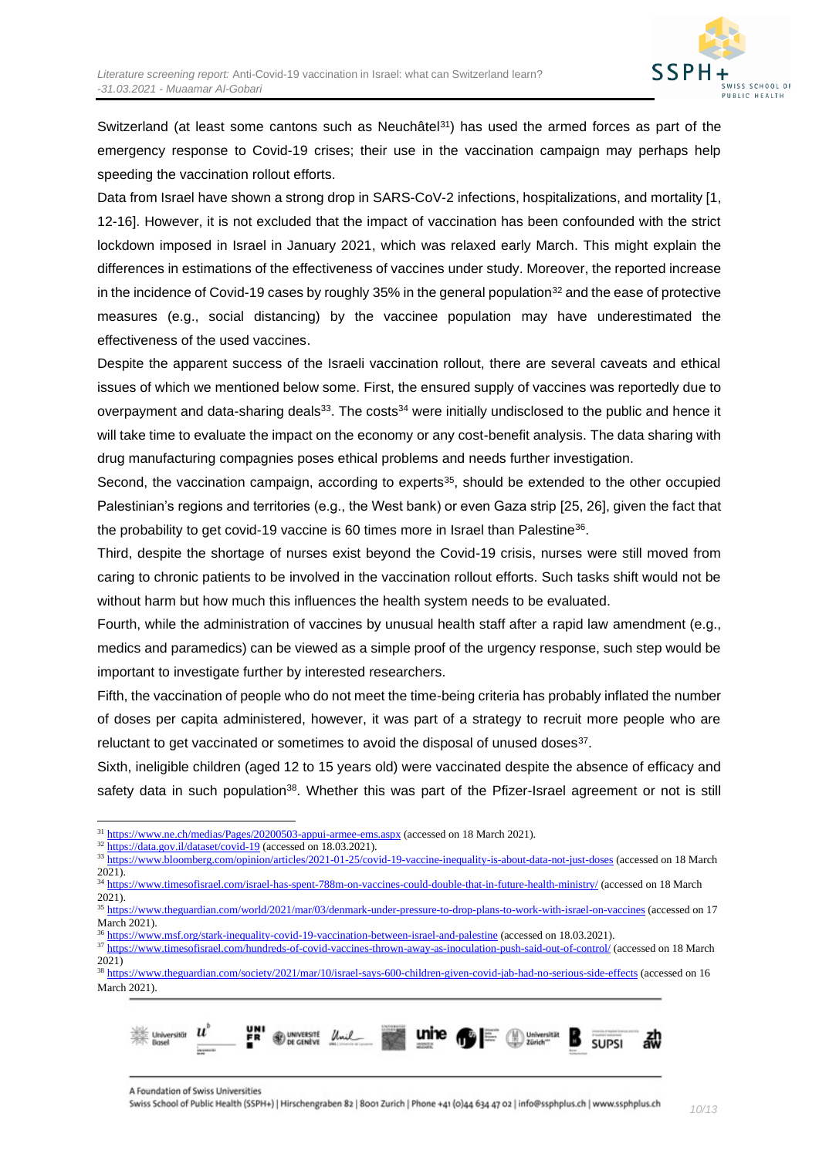

Switzerland (at least some cantons such as Neuchâtel<sup>31</sup>) has used the armed forces as part of the emergency response to Covid-19 crises; their use in the vaccination campaign may perhaps help speeding the vaccination rollout efforts.

Data from Israel have shown a strong drop in SARS-CoV-2 infections, hospitalizations, and mortality [1, 12-16]. However, it is not excluded that the impact of vaccination has been confounded with the strict lockdown imposed in Israel in January 2021, which was relaxed early March. This might explain the differences in estimations of the effectiveness of vaccines under study. Moreover, the reported increase in the incidence of Covid-19 cases by roughly  $35\%$  in the general population $32$  and the ease of protective measures (e.g., social distancing) by the vaccinee population may have underestimated the effectiveness of the used vaccines.

Despite the apparent success of the Israeli vaccination rollout, there are several caveats and ethical issues of which we mentioned below some. First, the ensured supply of vaccines was reportedly due to overpayment and data-sharing deals<sup>33</sup>. The costs<sup>34</sup> were initially undisclosed to the public and hence it will take time to evaluate the impact on the economy or any cost-benefit analysis. The data sharing with drug manufacturing compagnies poses ethical problems and needs further investigation.

Second, the vaccination campaign, according to experts $35$ , should be extended to the other occupied Palestinian's regions and territories (e.g., the West bank) or even Gaza strip [25, 26], given the fact that the probability to get covid-19 vaccine is 60 times more in Israel than Palestine<sup>36</sup>.

Third, despite the shortage of nurses exist beyond the Covid-19 crisis, nurses were still moved from caring to chronic patients to be involved in the vaccination rollout efforts. Such tasks shift would not be without harm but how much this influences the health system needs to be evaluated.

Fourth, while the administration of vaccines by unusual health staff after a rapid law amendment (e.g., medics and paramedics) can be viewed as a simple proof of the urgency response, such step would be important to investigate further by interested researchers.

Fifth, the vaccination of people who do not meet the time-being criteria has probably inflated the number of doses per capita administered, however, it was part of a strategy to recruit more people who are reluctant to get vaccinated or sometimes to avoid the disposal of unused doses $37$ .

Sixth, ineligible children (aged 12 to 15 years old) were vaccinated despite the absence of efficacy and safety data in such population<sup>38</sup>. Whether this was part of the Pfizer-Israel agreement or not is still

<sup>32</sup> <https://data.gov.il/dataset/covid-19> (accessed on 18.03.2021).

<sup>&</sup>lt;sup>38</sup> <https://www.theguardian.com/society/2021/mar/10/israel-says-600-children-given-covid-jab-had-no-serious-side-effects> (accessed on 16 March 2021).



<sup>31</sup> <https://www.ne.ch/medias/Pages/20200503-appui-armee-ems.aspx> (accessed on 18 March 2021).

<sup>&</sup>lt;sup>33</sup> <https://www.bloomberg.com/opinion/articles/2021-01-25/covid-19-vaccine-inequality-is-about-data-not-just-doses> (accessed on 18 March 2021).

<sup>&</sup>lt;sup>34</sup> <https://www.timesofisrael.com/israel-has-spent-788m-on-vaccines-could-double-that-in-future-health-ministry/> (accessed on 18 March 2021).

<sup>35</sup> <https://www.theguardian.com/world/2021/mar/03/denmark-under-pressure-to-drop-plans-to-work-with-israel-on-vaccines> (accessed on 17 March 2021).

<sup>&</sup>lt;sup>36</sup> <https://www.msf.org/stark-inequality-covid-19-vaccination-between-israel-and-palestine> (accessed on 18.03.2021).

<sup>&</sup>lt;sup>37</sup> <https://www.timesofisrael.com/hundreds-of-covid-vaccines-thrown-away-as-inoculation-push-said-out-of-control/> (accessed on 18 March 2021)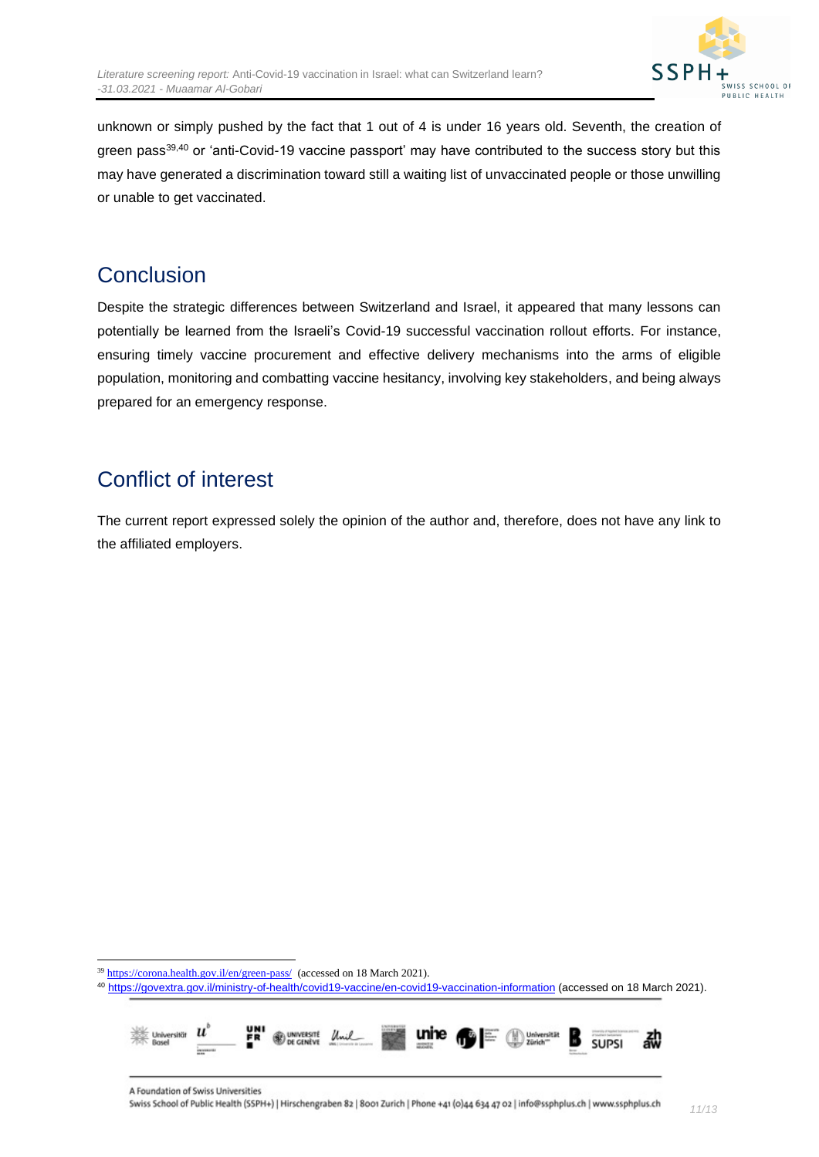

unknown or simply pushed by the fact that 1 out of 4 is under 16 years old. Seventh, the creation of green pass<sup>39,40</sup> or 'anti-Covid-19 vaccine passport' may have contributed to the success story but this may have generated a discrimination toward still a waiting list of unvaccinated people or those unwilling or unable to get vaccinated.

### <span id="page-10-0"></span>**Conclusion**

Despite the strategic differences between Switzerland and Israel, it appeared that many lessons can potentially be learned from the Israeli's Covid-19 successful vaccination rollout efforts. For instance, ensuring timely vaccine procurement and effective delivery mechanisms into the arms of eligible population, monitoring and combatting vaccine hesitancy, involving key stakeholders, and being always prepared for an emergency response.

# <span id="page-10-1"></span>Conflict of interest

The current report expressed solely the opinion of the author and, therefore, does not have any link to the affiliated employers.

<sup>39</sup> <https://corona.health.gov.il/en/green-pass/>(accessed on 18 March 2021).

<sup>40</sup> <https://govextra.gov.il/ministry-of-health/covid19-vaccine/en-covid19-vaccination-information> (accessed on 18 March 2021).

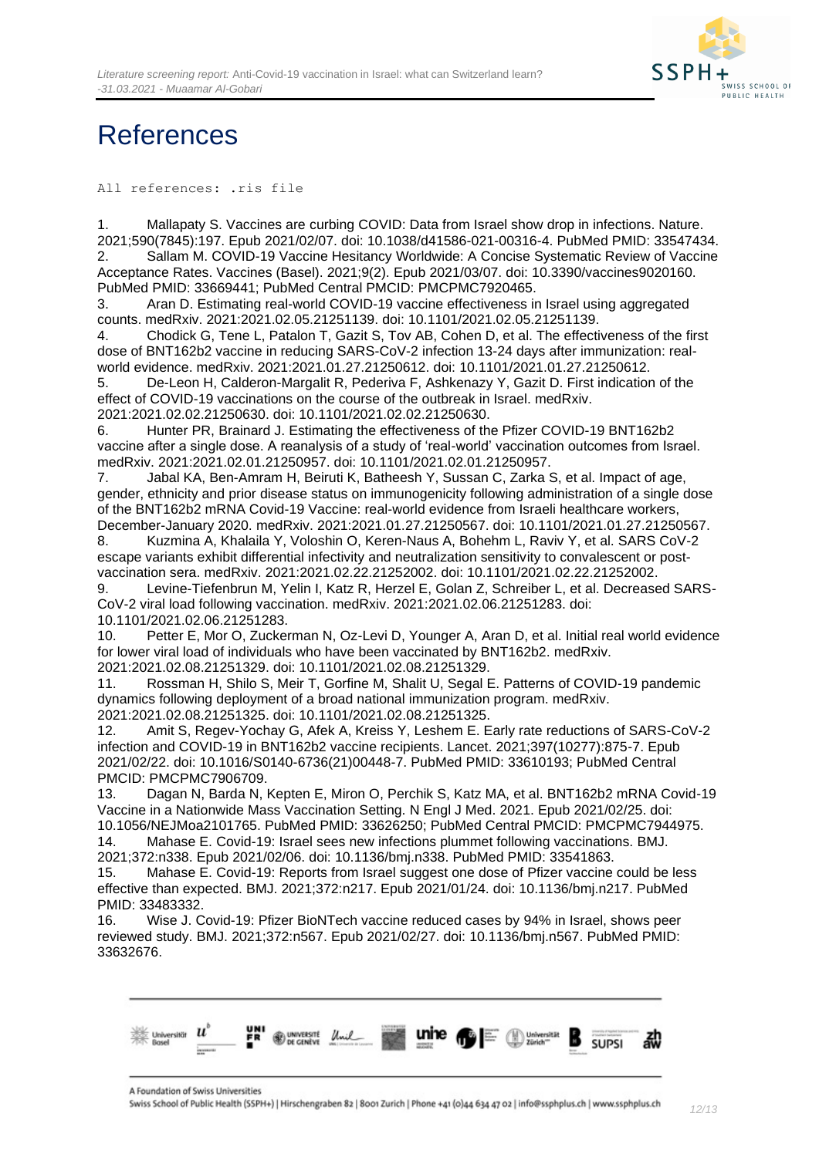

# <span id="page-11-0"></span>**References**

All references: .ris file

1. Mallapaty S. Vaccines are curbing COVID: Data from Israel show drop in infections. Nature. 2021;590(7845):197. Epub 2021/02/07. doi: 10.1038/d41586-021-00316-4. PubMed PMID: 33547434. 2. Sallam M. COVID-19 Vaccine Hesitancy Worldwide: A Concise Systematic Review of Vaccine Acceptance Rates. Vaccines (Basel). 2021;9(2). Epub 2021/03/07. doi: 10.3390/vaccines9020160. PubMed PMID: 33669441; PubMed Central PMCID: PMCPMC7920465.

3. Aran D. Estimating real-world COVID-19 vaccine effectiveness in Israel using aggregated counts. medRxiv. 2021:2021.02.05.21251139. doi: 10.1101/2021.02.05.21251139.

4. Chodick G, Tene L, Patalon T, Gazit S, Tov AB, Cohen D, et al. The effectiveness of the first dose of BNT162b2 vaccine in reducing SARS-CoV-2 infection 13-24 days after immunization: realworld evidence. medRxiv. 2021:2021.01.27.21250612. doi: 10.1101/2021.01.27.21250612.

5. De-Leon H, Calderon-Margalit R, Pederiva F, Ashkenazy Y, Gazit D. First indication of the effect of COVID-19 vaccinations on the course of the outbreak in Israel. medRxiv. 2021:2021.02.02.21250630. doi: 10.1101/2021.02.02.21250630.

6. Hunter PR, Brainard J. Estimating the effectiveness of the Pfizer COVID-19 BNT162b2 vaccine after a single dose. A reanalysis of a study of 'real-world' vaccination outcomes from Israel. medRxiv. 2021:2021.02.01.21250957. doi: 10.1101/2021.02.01.21250957.

7. Jabal KA, Ben-Amram H, Beiruti K, Batheesh Y, Sussan C, Zarka S, et al. Impact of age, gender, ethnicity and prior disease status on immunogenicity following administration of a single dose of the BNT162b2 mRNA Covid-19 Vaccine: real-world evidence from Israeli healthcare workers, December-January 2020. medRxiv. 2021:2021.01.27.21250567. doi: 10.1101/2021.01.27.21250567.

8. Kuzmina A, Khalaila Y, Voloshin O, Keren-Naus A, Bohehm L, Raviv Y, et al. SARS CoV-2 escape variants exhibit differential infectivity and neutralization sensitivity to convalescent or postvaccination sera. medRxiv. 2021:2021.02.22.21252002. doi: 10.1101/2021.02.22.21252002.

9. Levine-Tiefenbrun M, Yelin I, Katz R, Herzel E, Golan Z, Schreiber L, et al. Decreased SARS-CoV-2 viral load following vaccination. medRxiv. 2021:2021.02.06.21251283. doi: 10.1101/2021.02.06.21251283.

10. Petter E, Mor O, Zuckerman N, Oz-Levi D, Younger A, Aran D, et al. Initial real world evidence for lower viral load of individuals who have been vaccinated by BNT162b2. medRxiv. 2021:2021.02.08.21251329. doi: 10.1101/2021.02.08.21251329.

11. Rossman H, Shilo S, Meir T, Gorfine M, Shalit U, Segal E. Patterns of COVID-19 pandemic dynamics following deployment of a broad national immunization program. medRxiv. 2021:2021.02.08.21251325. doi: 10.1101/2021.02.08.21251325.

12. Amit S, Regev-Yochay G, Afek A, Kreiss Y, Leshem E. Early rate reductions of SARS-CoV-2 infection and COVID-19 in BNT162b2 vaccine recipients. Lancet. 2021;397(10277):875-7. Epub 2021/02/22. doi: 10.1016/S0140-6736(21)00448-7. PubMed PMID: 33610193; PubMed Central PMCID: PMCPMC7906709.

13. Dagan N, Barda N, Kepten E, Miron O, Perchik S, Katz MA, et al. BNT162b2 mRNA Covid-19 Vaccine in a Nationwide Mass Vaccination Setting. N Engl J Med. 2021. Epub 2021/02/25. doi: 10.1056/NEJMoa2101765. PubMed PMID: 33626250; PubMed Central PMCID: PMCPMC7944975. 14. Mahase E. Covid-19: Israel sees new infections plummet following vaccinations. BMJ.

2021;372:n338. Epub 2021/02/06. doi: 10.1136/bmj.n338. PubMed PMID: 33541863.

15. Mahase E. Covid-19: Reports from Israel suggest one dose of Pfizer vaccine could be less effective than expected. BMJ. 2021;372:n217. Epub 2021/01/24. doi: 10.1136/bmj.n217. PubMed PMID: 33483332.

16. Wise J. Covid-19: Pfizer BioNTech vaccine reduced cases by 94% in Israel, shows peer reviewed study. BMJ. 2021;372:n567. Epub 2021/02/27. doi: 10.1136/bmj.n567. PubMed PMID: 33632676.



A Foundation of Swiss Universities